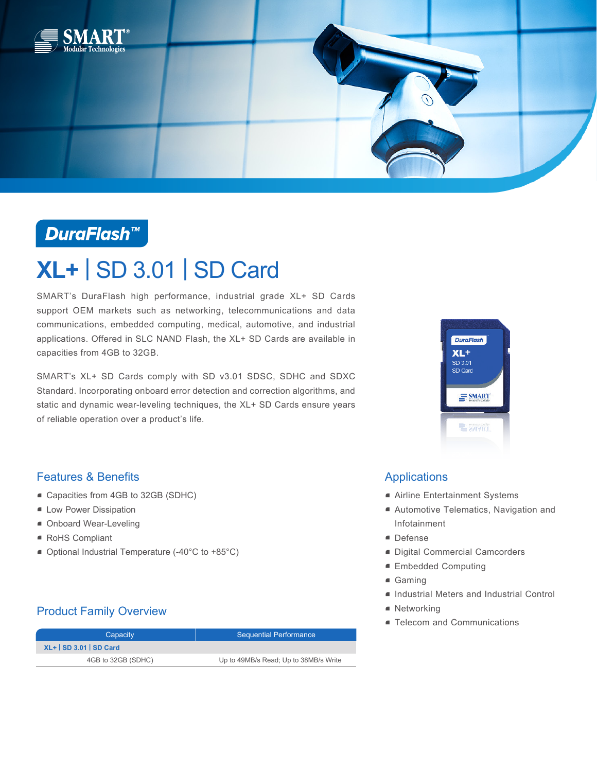

## **DuraFlash™**

# **XL+** | SD 3.01 | SD Card

SMART's DuraFlash high performance, industrial grade XL+ SD Cards support OEM markets such as networking, telecommunications and data communications, embedded computing, medical, automotive, and industrial applications. Offered in SLC NAND Flash, the XL+ SD Cards are available in capacities from 4GB to 32GB.

SMART's XL+ SD Cards comply with SD v3.01 SDSC, SDHC and SDXC Standard. Incorporating onboard error detection and correction algorithms, and static and dynamic wear-leveling techniques, the XL+ SD Cards ensure years of reliable operation over a product's life.



### Features & Benefits

- Capacities from 4GB to 32GB (SDHC)
- **E** Low Power Dissipation
- Onboard Wear-Leveling
- RoHS Compliant
- Optional Industrial Temperature (-40°C to +85°C)

## Product Family Overview

| Capacity              | <b>Sequential Performance</b>         |  |
|-----------------------|---------------------------------------|--|
| $XL+$ SD 3.01 SD Card |                                       |  |
| 4GB to 32GB (SDHC)    | Up to 49MB/s Read; Up to 38MB/s Write |  |

## Applications

- Airline Entertainment Systems
- Automotive Telematics, Navigation and Infotainment
- Defense
- Digital Commercial Camcorders
- Embedded Computing
- Gaming
- Industrial Meters and Industrial Control
- Networking
- Telecom and Communications